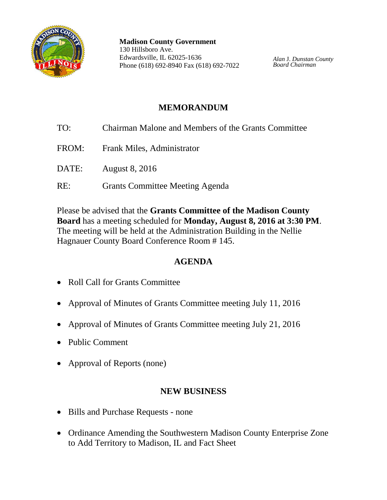

**Madison County Government** 130 Hillsboro Ave. Edwardsville, IL 62025-1636 Phone (618) 692-8940 Fax (618) 692-7022

*Alan* J. *Dunstan County Board Chairman*

## **MEMORANDUM**

- TO: Chairman Malone and Members of the Grants Committee FROM: Frank Miles, Administrator
- DATE: August 8, 2016
- RE: Grants Committee Meeting Agenda

Please be advised that the **Grants Committee of the Madison County Board** has a meeting scheduled for **Monday, August 8, 2016 at 3:30 PM**. The meeting will be held at the Administration Building in the Nellie Hagnauer County Board Conference Room # 145.

# **AGENDA**

- Roll Call for Grants Committee
- Approval of Minutes of Grants Committee meeting July 11, 2016
- Approval of Minutes of Grants Committee meeting July 21, 2016
- Public Comment
- Approval of Reports (none)

### **NEW BUSINESS**

- Bills and Purchase Requests none
- Ordinance Amending the Southwestern Madison County Enterprise Zone to Add Territory to Madison, IL and Fact Sheet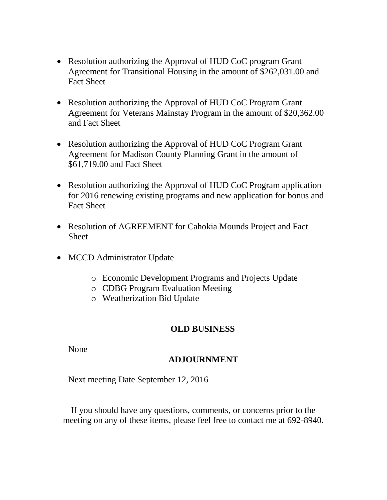- Resolution authorizing the Approval of HUD CoC program Grant Agreement for Transitional Housing in the amount of \$262,031.00 and Fact Sheet
- Resolution authorizing the Approval of HUD CoC Program Grant Agreement for Veterans Mainstay Program in the amount of \$20,362.00 and Fact Sheet
- Resolution authorizing the Approval of HUD CoC Program Grant Agreement for Madison County Planning Grant in the amount of \$61,719.00 and Fact Sheet
- Resolution authorizing the Approval of HUD CoC Program application for 2016 renewing existing programs and new application for bonus and Fact Sheet
- Resolution of AGREEMENT for Cahokia Mounds Project and Fact **Sheet**
- MCCD Administrator Update
	- o Economic Development Programs and Projects Update
	- o CDBG Program Evaluation Meeting
	- o Weatherization Bid Update

### **OLD BUSINESS**

None

### **ADJOURNMENT**

Next meeting Date September 12, 2016

If you should have any questions, comments, or concerns prior to the meeting on any of these items, please feel free to contact me at 692-8940.